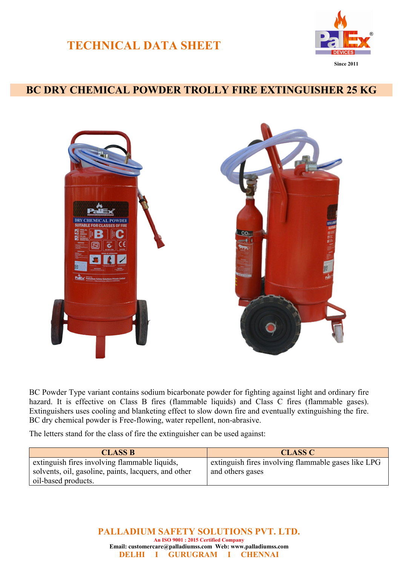## **TECHNICAL DATA SHEET**



## **BC DRY CHEMICAL POWDER TROLLY FIRE EXTINGUISHER 25 KG**



BC Powder Type variant contains sodium bicarbonate powder for fighting against light and ordinary fire hazard. It is effective on Class B fires (flammable liquids) and Class C fires (flammable gases). Extinguishers uses cooling and blanketing effect to slow down fire and eventually extinguishing the fire. BC dry chemical powder is Free-flowing, water repellent, non-abrasive.

The letters stand for the class of fire the extinguisher can be used against:

| <b>CLASS B</b>                                       | <b>CLASS C</b>                                      |
|------------------------------------------------------|-----------------------------------------------------|
| extinguish fires involving flammable liquids,        | extinguish fires involving flammable gases like LPG |
| solvents, oil, gasoline, paints, lacquers, and other | and others gases                                    |
| oil-based products.                                  |                                                     |